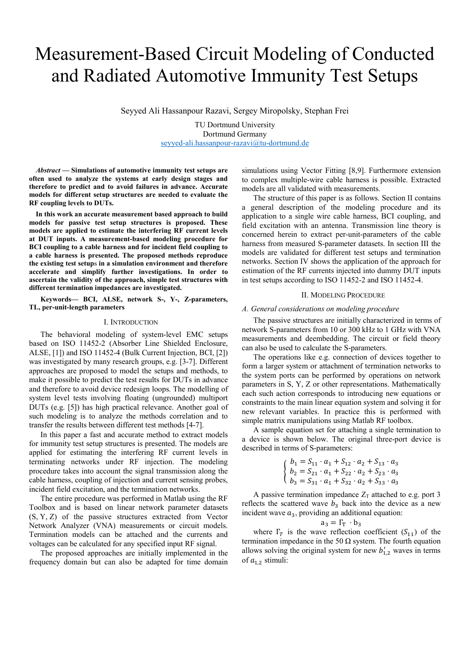# Measurement-Based Circuit Modeling of Conducted and Radiated Automotive Immunity Test Setups

Seyyed Ali Hassanpour Razavi, Sergey Miropolsky, Stephan Frei

TU Dortmund University Dortmund Germany seyyed-ali.hassanpour-razavi@tu-dortmund.de

*Abstract* **— Simulations of automotive immunity test setups are often used to analyze the systems at early design stages and therefore to predict and to avoid failures in advance. Accurate models for different setup structures are needed to evaluate the RF coupling levels to DUTs.** 

**In this work an accurate measurement based approach to build models for passive test setup structures is proposed. These models are applied to estimate the interfering RF current levels at DUT inputs. A measurement-based modeling procedure for BCI coupling to a cable harness and for incident field coupling to a cable harness is presented. The proposed methods reproduce the existing test setup**s **in a simulation environment and therefore accelerate and simplify further investigations. In order to ascertain the validity of the approach, simple test structures with different termination impedances are investigated.** 

**Keywords— BCI, ALSE, network S-, Y-, Z-parameters, TL, per-unit-length parameters** 

### I. INTRODUCTION

The behavioral modeling of system-level EMC setups based on ISO 11452-2 (Absorber Line Shielded Enclosure, ALSE, [1]) and ISO 11452-4 (Bulk Current Injection, BCI, [2]) was investigated by many research groups, e.g. [3-7]. Different approaches are proposed to model the setups and methods, to make it possible to predict the test results for DUTs in advance and therefore to avoid device redesign loops. The modelling of system level tests involving floating (ungrounded) multiport DUTs (e.g. [5]) has high practical relevance. Another goal of such modeling is to analyze the methods correlation and to transfer the results between different test methods [4-7].

In this paper a fast and accurate method to extract models for immunity test setup structures is presented. The models are applied for estimating the interfering RF current levels in terminating networks under RF injection. The modeling procedure takes into account the signal transmission along the cable harness, coupling of injection and current sensing probes, incident field excitation, and the termination networks.

The entire procedure was performed in Matlab using the RF Toolbox and is based on linear network parameter datasets (S, Y, Z) of the passive structures extracted from Vector Network Analyzer (VNA) measurements or circuit models. Termination models can be attached and the currents and voltages can be calculated for any specified input RF signal.

The proposed approaches are initially implemented in the frequency domain but can also be adapted for time domain simulations using Vector Fitting [8,9]. Furthermore extension to complex multiple-wire cable harness is possible. Extracted models are all validated with measurements.

The structure of this paper is as follows. Section II contains a general description of the modeling procedure and its application to a single wire cable harness, BCI coupling, and field excitation with an antenna. Transmission line theory is concerned herein to extract per-unit-parameters of the cable harness from measured S-parameter datasets. In section III the models are validated for different test setups and termination networks. Section IV shows the application of the approach for estimation of the RF currents injected into dummy DUT inputs in test setups according to ISO 11452-2 and ISO 11452-4.

### II. MODELING PROCEDURE

# *A. General considerations on modeling procedure*

The passive structures are initially characterized in terms of network S-parameters from 10 or 300 kHz to 1 GHz with VNA measurements and deembedding. The circuit or field theory can also be used to calculate the S-parameters.

The operations like e.g. connection of devices together to form a larger system or attachment of termination networks to the system ports can be performed by operations on network parameters in S, Y, Z or other representations. Mathematically each such action corresponds to introducing new equations or constraints to the main linear equation system and solving it for new relevant variables. In practice this is performed with simple matrix manipulations using Matlab RF toolbox.

A sample equation set for attaching a single termination to a device is shown below. The original three-port device is described in terms of S-parameters:

$$
\begin{cases}\nb_1 = S_{11} \cdot a_1 + S_{12} \cdot a_2 + S_{13} \cdot a_3 \\
b_2 = S_{21} \cdot a_1 + S_{22} \cdot a_2 + S_{23} \cdot a_3 \\
b_3 = S_{31} \cdot a_1 + S_{32} \cdot a_2 + S_{33} \cdot a_3\n\end{cases}
$$

A passive termination impedance  $Z_T$  attached to e.g. port 3 reflects the scattered wave  $b_3$  back into the device as a new incident wave  $a_3$ , providing an additional equation:

$$
a_3 = \Gamma_T \cdot b_3
$$

where  $\Gamma_T$  is the wave reflection coefficient ( $S_{11}$ ) of the termination impedance in the 50  $\Omega$  system. The fourth equation allows solving the original system for new  $b'_{1,2}$  waves in terms of  $a_{1,2}$  stimuli: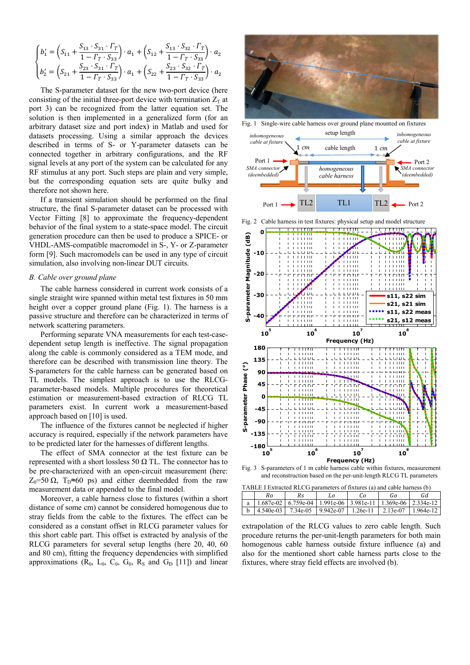$$
\begin{cases}\nb_1' = \left(S_{11} + \frac{S_{13} \cdot S_{31} \cdot \Gamma_T}{1 - \Gamma_T \cdot S_{33}}\right) \cdot a_1 + \left(S_{12} + \frac{S_{13} \cdot S_{32} \cdot \Gamma_T}{1 - \Gamma_T \cdot S_{33}}\right) \cdot a_2 \\
b_2' = \left(S_{21} + \frac{S_{23} \cdot S_{31} \cdot \Gamma_T}{1 - \Gamma_T \cdot S_{33}}\right) \cdot a_1 + \left(S_{22} + \frac{S_{23} \cdot S_{32} \cdot \Gamma_T}{1 - \Gamma_T \cdot S_{33}}\right) \cdot a_2\n\end{cases}
$$

The S-parameter dataset for the new two-port device (here consisting of the initial three-port device with termination  $Z_T$  at port 3) can be recognized from the latter equation set. The solution is then implemented in a generalized form (for an arbitrary dataset size and port index) in Matlab and used for datasets processing. Using a similar approach the devices described in terms of S- or Y-parameter datasets can be connected together in arbitrary configurations, and the RF signal levels at any port of the system can be calculated for any RF stimulus at any port. Such steps are plain and very simple, but the corresponding equation sets are quite bulky and therefore not shown here.

If a transient simulation should be performed on the final structure, the final S-parameter dataset can be processed with Vector Fitting [8] to approximate the frequency-dependent behavior of the final system to a state-space model. The circuit generation procedure can then be used to produce a SPICE- or VHDL-AMS-compatible macromodel in S-, Y- or Z-parameter form [9]. Such macromodels can be used in any type of circuit simulation, also involving non-linear DUT circuits.

# *B. Cable over ground plane*

The cable harness considered in current work consists of a single straight wire spanned within metal test fixtures in 50 mm height over a copper ground plane (Fig. 1) . The harness is a passive structure and therefore can be characterized in terms of network scattering parameters.

Performing separate VNA measurements for each test-casedependent setup length is ineffective. The signal propagation along the cable is commonly considered as a a TEM mode, and therefore can be described with transmission line theory. The S-parameters for the cable harness can be generated based on TL models. The simplest approach is to use the RLCGparameter-based models. Multiple procedures for theoretical estimation or measurement-based extraction of RLCG TL parameters exist. In current work a measurement-based approach based on [10] is used.

The influence of the fixtures cannot be neglected if higher accuracy is required, especially if the network parameters have to be predicted later for the harnesses of different lengths.

The effect of SMA connector at the test fixture can be represented with a short lossless 50  $\Omega$  TL. The connector has to be pre-characterized with an open-circuit measurement (here:  $Z_0$ =50  $\Omega$ ,  $T_D \approx 60$  ps) and either deembedded from the raw measurement data or appended to the final m odel.

Moreover, a cable harness close to fixtures (within a short distance of some cm) cannot be considered h homogenous due to stray fields from the cable to the fixtures. The effect can be considered as a constant offset in RLCG parameter values for this short cable part. This offset is extracted by analysis of the RLCG parameters for several setup lengths s (here 20, 40, 60 and 80 cm), fitting the frequency dependencies with simplified approximations  $(R_0, L_0, C_0, G_0, R_S$  and  $G_D$  [11]) and linear



Fig. 1 Single-wire cable harness over ground plane mounted on fixtures





Fig. 3 S-parameters of 1 m cable harness cable within fixtures, measurement and reconstruction based on the per-unit-length RLCG TL parameters

| TABLE I Extracted RLCG parameters of fixtures (a) and cable harness (b) |                                                                             |     |    |    |    |     |
|-------------------------------------------------------------------------|-----------------------------------------------------------------------------|-----|----|----|----|-----|
|                                                                         | Ro                                                                          | Rs. | L0 | Co | Go | Gd. |
|                                                                         | a   1.687e-02   6.759e-04   1.991e-06   3.981e-11   1.369e-06   2.334e-12   |     |    |    |    |     |
|                                                                         | b $\left  4.540e-03 \right $ 7.34e-05 9.942e-07 1.26e-11 2.13e-07 1.964e-12 |     |    |    |    |     |

extrapolation of the RLCG values to zero cable length. Such procedure returns the per-unit-l length parameters for both main homogenous cable harness outside fixture influence (a) and also for the mentioned short cable harness parts close to the fixtures, where stray field effects are involved (b).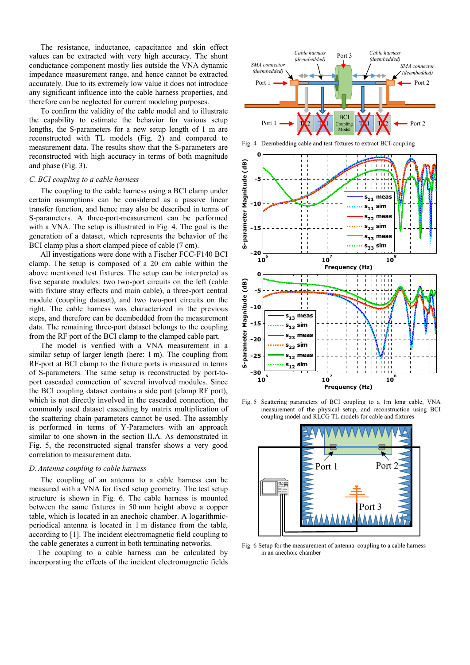The resistance, inductance, capacitance and skin effect values can be extracted with very high accuracy. The shunt conductance component mostly lies outside the VNA dynamic impedance measurement range, and hence cannot be extracted accurately. Due to its extremely low value it does not introduce any significant influence into the cable harness properties, and therefore can be neglected for current modeling purposes.

To confirm the validity of the cable model and to illustrate the capability to estimate the behavior for various setup lengths, the S-parameters for a new setup length of 1 m are reconstructed with TL models (Fig. 2) and compared to measurement data. The results show that the S-parameters are reconstructed with high accuracy in terms of both magnitude and phase (Fig. 3).

# *C. BCI coupling to a cable harness*

The coupling to the cable harness using a BCI clamp under certain assumptions can be considered as a passive linear transfer function, and hence may also be described in terms of S-parameters. A three-port-measurement can be performed with a VNA. The setup is illustrated in Fig. 4. The goal is the generation of a dataset, which represents the behavior of the BCI clamp plus a short clamped piece of cable (7 cm).

All investigations were done with a Fischer FCC-F140 BCI clamp. The setup is composed of a 20 cm cable within the above mentioned test fixtures. The setup can be interpreted as five separate modules: two two-port circuits on the left (cable with fixture stray effects and main cable), a three-port central module (coupling dataset), and two two-port circuits on the right. The cable harness was characterized in the previous steps, and therefore can be deembedded from the measurement data. The remaining three-port dataset belongs to the coupling from the RF port of the BCI clamp to the clamped cable part.

The model is verified with a VNA measurement in a similar setup of larger length (here: 1 m). The coupling from RF-port at BCI clamp to the fixture ports is measured in terms of S-parameters. The same setup is reconstructed by port-toport cascaded connection of several involved modules. Since the BCI coupling dataset contains a side port (clamp RF port), which is not directly involved in the cascaded connection, the commonly used dataset cascading by matrix multiplication of the scattering chain parameters cannot be used. The assembly is performed in terms of Y-Parameters with an approach similar to one shown in the section II.A. As demonstrated in Fig. 5, the reconstructed signal transfer shows a very good correlation to measurement data.

# *D. Antenna coupling to cable harness*

The coupling of an antenna to a cable harness can be measured with a VNA for fixed setup geometry. The test setup structure is shown in Fig. 6. The cable harness is mounted between the same fixtures in 50 mm height above a copper table, which is located in an anechoic chamber. A logarithmicperiodical antenna is located in 1 m distance from the table, according to [1]. The incident electromagnetic field coupling to the cable generates a current in both terminating networks.

The coupling to a cable harness can be calculated by incorporating the effects of the incident electromagnetic fields





Fig. 5 Scattering parameters of BCI coupling to a 1m long cable, VNA measurement of the physical setup, and reconstruction using BCI coupling model and RLCG TL models for cable and fixtures



Fig. 6 Setup for the measurement of antenna coupling to a cable harness in an anechoic chamber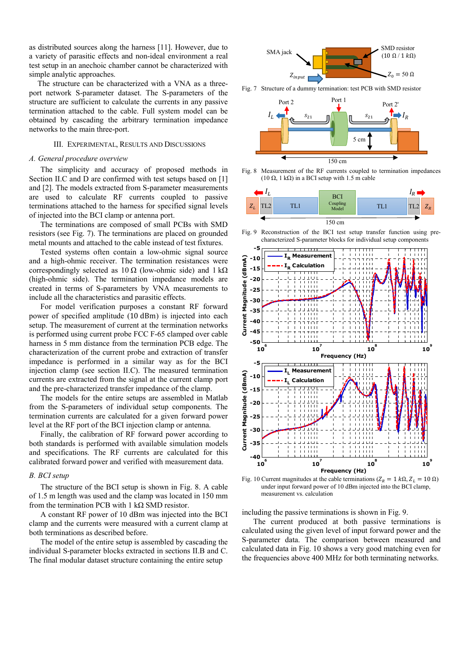as distributed sources along the harness [11]. However, due to a variety of parasitic effects and non-ideal environment a real test setup in an anechoic chamber cannot be characterized with simple analytic approaches.

The structure can be characterized with a VNA as a threeport network S-parameter dataset. The S-parameters of the structure are sufficient to calculate the currents in any passive termination attached to the cable. Full system model can be obtained by cascading the arbitrary termination impedance networks to the main three-port.

## III. EXPERIMENTAL, RESULTS AND DISCUSSIONS

# *A. General procedure overview*

The simplicity and accuracy of proposed methods in Section II.C and D are confirmed with test setups based on [1] and [2]. The models extracted from S-parameter measurements are used to calculate RF currents coupled to passive terminations attached to the harness for specified signal levels of injected into the BCI clamp or antenna port.

The terminations are composed of small PCBs with SMD resistors (see Fig. 7). The terminations are placed on grounded metal mounts and attached to the cable instead of test fixtures.

Tested systems often contain a low-ohmic signal source and a high-ohmic receiver. The termination resistances were correspondingly selected as  $10 \Omega$  (low-ohmic side) and  $1 \text{ k}\Omega$ (high-ohmic side). The termination impedance models are created in terms of S-parameters by VNA measurements to include all the characteristics and parasitic effects.

For model verification purposes a constant RF forward power of specified amplitude (10 dBm) is injected into each setup. The measurement of current at the termination networks is performed using current probe FCC F-65 clamped over cable harness in 5 mm distance from the termination PCB edge. The characterization of the current probe and extraction of transfer impedance is performed in a similar way as for the BCI injection clamp (see section II.C). The measured termination currents are extracted from the signal at the current clamp port and the pre-characterized transfer impedance of the clamp.

The models for the entire setups are assembled in Matlab from the S-parameters of individual setup components. The termination currents are calculated for a given forward power level at the RF port of the BCI injection clamp or antenna.

Finally, the calibration of RF forward power according to both standards is performed with available simulation models and specifications. The RF currents are calculated for this calibrated forward power and verified with measurement data.

#### *B. BCI setup*

The structure of the BCI setup is shown in Fig. 8. A cable of 1.5 m length was used and the clamp was located in 150 mm from the termination PCB with 1 k $\Omega$  SMD resistor.

A constant RF power of 10 dBm was injected into the BCI clamp and the currents were measured with a current clamp at both terminations as described before.

The model of the entire setup is assembled by cascading the individual S-parameter blocks extracted in sections II.B and C. The final modular dataset structure containing the entire setup



Fig. 7 Structure of a dummy termination: test PCB with SMD resistor



Fig. 8 Measurement of the RF currents coupled to termination impedances (10  $\Omega$ , 1 k $\Omega$ ) in a BCI setup with 1.5 m cable



Fig. 9 Reconstruction of the BCI test setup transfer function using precharacterized S-parameter blocks for individual setup components



Fig. 10 Current magnitudes at the cable terminations ( $Z_R = 1 k\Omega$ ,  $Z_L = 10 \Omega$ ) under input forward power of 10 dBm injected into the BCI clamp, measurement vs. calculation

including the passive terminations is shown in Fig. 9.

The current produced at both passive terminations is calculated using the given level of input forward power and the S-parameter data. The comparison between measured and calculated data in Fig. 10 shows a very good matching even for the frequencies above 400 MHz for both terminating networks.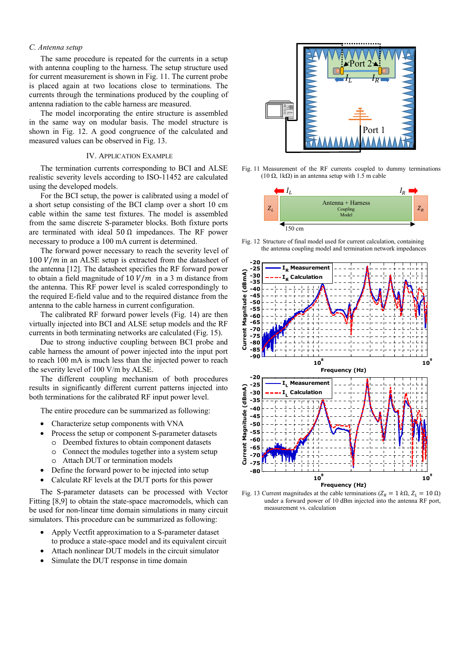# *C. Antenna setup*

The same procedure is repeated for the currents in a setup with antenna coupling to the harness. The setup structure used for current measurement is shown in Fig. 11. The current probe is placed again at two locations close to terminations. The currents through the terminations produced by the coupling of antenna radiation to the cable harness are measured.

The model incorporating the entire structure is assembled in the same way on modular basis. The model structure is shown in Fig. 12. A good congruence of the calculated and measured values can be observed in Fig. 13.

# IV. APPLICATION EXAMPLE

The termination currents corresponding to BCI and ALSE realistic severity levels according to ISO-11452 are calculated using the developed models.

For the BCI setup, the power is calibrated using a model of a short setup consisting of the BCI clamp over a short 10 cm cable within the same test fixtures. The model is assembled from the same discrete S-parameter blocks. Both fixture ports are terminated with ideal  $50 \Omega$  impedances. The RF power necessary to produce a 100 mA current is determined.

The forward power necessary to reach the severity level of  $100 V/m$  in an ALSE setup is extracted from the datasheet of the antenna [12]. The datasheet specifies the RF forward power to obtain a field magnitude of 10  $V/m$  in a 3 m distance from the antenna. This RF power level is scaled correspondingly to the required E-field value and to the required distance from the antenna to the cable harness in current configuration.

The calibrated RF forward power levels (Fig. 14) are then virtually injected into BCI and ALSE setup models and the RF currents in both terminating networks are calculated (Fig. 15).

Due to strong inductive coupling between BCI probe and cable harness the amount of power injected into the input port to reach 100 mA is much less than the injected power to reach the severity level of 100 V/m by ALSE.

The different coupling mechanism of both procedures results in significantly different current patterns injected into both terminations for the calibrated RF input power level.

The entire procedure can be summarized as following:

- Characterize setup components with VNA
- Process the setup or component S-parameter datasets
	- o Deembed fixtures to obtain component datasets
	- o Connect the modules together into a system setup o Attach DUT or termination models
- Define the forward power to be injected into setup
- Calculate RF levels at the DUT ports for this power

The S-parameter datasets can be processed with Vector Fitting [8,9] to obtain the state-space macromodels, which can be used for non-linear time domain simulations in many circuit simulators. This procedure can be summarized as following:

- Apply Vectfit approximation to a S-parameter dataset to produce a state-space model and its equivalent circuit
- Attach nonlinear DUT models in the circuit simulator
- Simulate the DUT response in time domain



Fig. 11 Measurement of the RF currents coupled to dummy terminations (10  $\Omega$ , 1k $\Omega$ ) in an antenna setup with 1.5 m cable



Fig. 12 Structure of final model used for current calculation, containing the antenna coupling model and termination network impedances



Fig. 13 Current magnitudes at the cable terminations ( $Z_R = 1 k \Omega$ ,  $Z_L = 10 \Omega$ ) under a forward power of 10 dBm injected into the antenna RF port, measurement vs. calculation